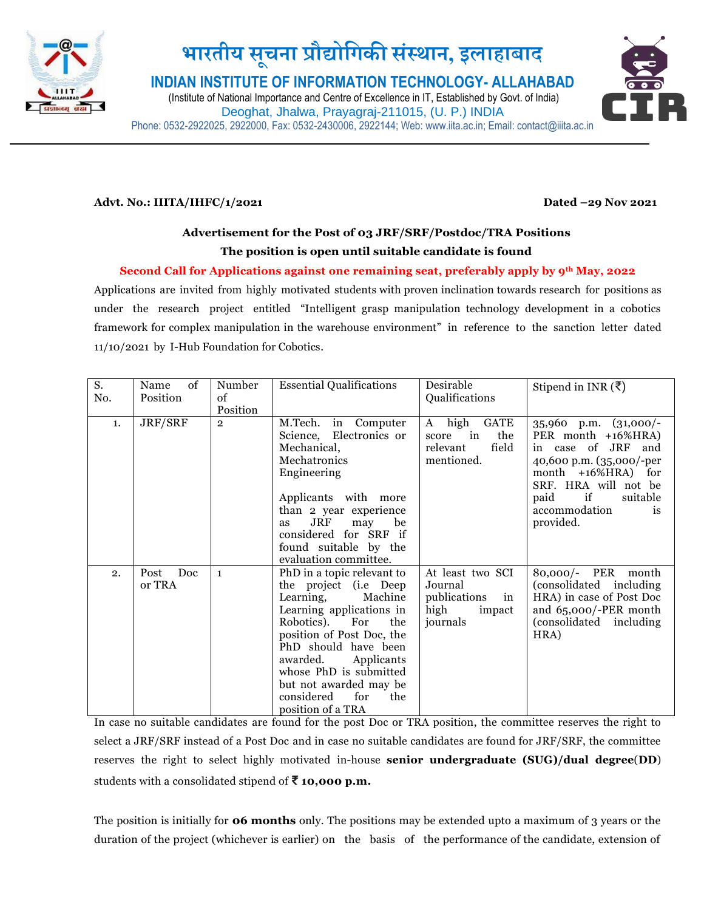

# **भारतीय स ू चना प्रौद्योगिकी संस्थान, इलाहाबाद**

**INDIAN INSTITUTE OF INFORMATION TECHNOLOGY- ALLAHABAD**

(Institute of National Importance and Centre of Excellence in IT, Established by Govt. of India) Deoghat, Jhalwa, Prayagraj-211015, (U. P.) INDIA Phone: 0532-2922025, 2922000, Fax: 0532-2430006, 2922144; Web: www.iita.ac.in; Email: contact@iiita.ac.in



### **Advt. No.: IIITA/IHFC/1/2021 Dated –29 Nov 2021**

### **Advertisement for the Post of 03 JRF/SRF/Postdoc/TRA Positions The position is open until suitable candidate is found**

### **Second Call for Applications against one remaining seat, preferably apply by 9th May, 2022**

Applications are invited from highly motivated students with proven inclination towards research for positions as under the research project entitled "Intelligent grasp manipulation technology development in a cobotics framework for complex manipulation in the warehouse environment" in reference to the sanction letter dated 11/10/2021 by I-Hub Foundation for Cobotics.

| S.  | of<br>Name             | Number         | <b>Essential Qualifications</b>                                                                                                                                                                                                                                                                                         | Desirable                                                                       | Stipend in INR $(\bar{\zeta})$                                                                                                                                                                                   |
|-----|------------------------|----------------|-------------------------------------------------------------------------------------------------------------------------------------------------------------------------------------------------------------------------------------------------------------------------------------------------------------------------|---------------------------------------------------------------------------------|------------------------------------------------------------------------------------------------------------------------------------------------------------------------------------------------------------------|
| No. | Position               | of             |                                                                                                                                                                                                                                                                                                                         | Qualifications                                                                  |                                                                                                                                                                                                                  |
|     |                        | Position       |                                                                                                                                                                                                                                                                                                                         |                                                                                 |                                                                                                                                                                                                                  |
| 1.  | JRF/SRF                | $\overline{2}$ | M.Tech.<br>in Computer<br>Science, Electronics or<br>Mechanical,<br>Mechatronics<br>Engineering<br>Applicants with more<br>than 2 year experience<br>JRF<br>be<br>may<br>as<br>considered for SRF if<br>found suitable by the<br>evaluation committee.                                                                  | high<br>GATE<br>A<br>the<br>in<br>score<br>field<br>relevant<br>mentioned.      | $35,960$ p.m. $(31,000/-$<br>PER month +16%HRA)<br>in case of JRF<br>and<br>40,600 p.m. (35,000/-per<br>month +16%HRA) for<br>SRF. HRA will not be<br>if<br>paid<br>suitable<br>accommodation<br>is<br>provided. |
| 2.  | Doc.<br>Post<br>or TRA | $\mathbf{1}$   | PhD in a topic relevant to<br>the project (i.e Deep<br>Machine<br>Learning,<br>Learning applications in<br>Robotics).<br>the<br>For<br>position of Post Doc, the<br>PhD should have been<br>awarded.<br>Applicants<br>whose PhD is submitted<br>but not awarded may be<br>considered<br>for<br>the<br>position of a TRA | At least two SCI<br>Journal<br>publications<br>in<br>high<br>impact<br>journals | 80,000/- PER month<br>(consolidated including)<br>HRA) in case of Post Doc<br>and 65,000/-PER month<br>(consolidated including)<br>HRA)                                                                          |

In case no suitable candidates are found for the post Doc or TRA position, the committee reserves the right to select a JRF/SRF instead of a Post Doc and in case no suitable candidates are found for JRF/SRF, the committee reserves the right to select highly motivated in-house **senior undergraduate (SUG)/dual degree**(**DD**) students with a consolidated stipend of **₹ 10,000 p.m.**

The position is initially for **06 months** only. The positions may be extended upto a maximum of 3 years or the duration of the project (whichever is earlier) on the basis of the performance of the candidate, extension of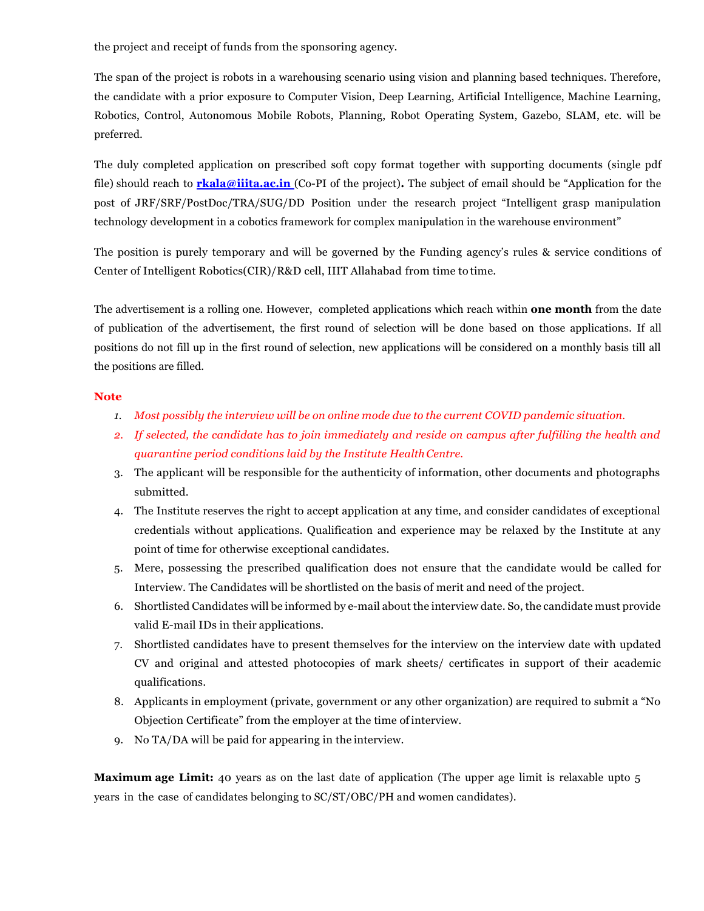the project and receipt of funds from the sponsoring agency.

The span of the project is robots in a warehousing scenario using vision and planning based techniques. Therefore, the candidate with a prior exposure to Computer Vision, Deep Learning, Artificial Intelligence, Machine Learning, Robotics, Control, Autonomous Mobile Robots, Planning, Robot Operating System, Gazebo, SLAM, etc. will be preferred.

The duly completed application on prescribed soft copy format together with supporting documents (single pdf file) should reach to **[rkala@iiita.ac.in](mailto:rkala@iiita.ac.in)** (Co-PI of the project)**.** The subject of email should be "Application for the post of JRF/SRF/PostDoc/TRA/SUG/DD Position under the research project "Intelligent grasp manipulation technology development in a cobotics framework for complex manipulation in the warehouse environment"

The position is purely temporary and will be governed by the Funding agency's rules & service conditions of Center of Intelligent Robotics(CIR)/R&D cell, IIIT Allahabad from time to time.

The advertisement is a rolling one. However, completed applications which reach within **one month** from the date of publication of the advertisement, the first round of selection will be done based on those applications. If all positions do not fill up in the first round of selection, new applications will be considered on a monthly basis till all the positions are filled.

### **Note**

- *1. Most possibly the interview will be on online mode due to the current COVID pandemic situation.*
- *2. If selected, the candidate has to join immediately and reside on campus after fulfilling the health and quarantine period conditions laid by the Institute HealthCentre.*
- 3. The applicant will be responsible for the authenticity of information, other documents and photographs submitted.
- 4. The Institute reserves the right to accept application at any time, and consider candidates of exceptional credentials without applications. Qualification and experience may be relaxed by the Institute at any point of time for otherwise exceptional candidates.
- 5. Mere, possessing the prescribed qualification does not ensure that the candidate would be called for Interview. The Candidates will be shortlisted on the basis of merit and need of the project.
- 6. Shortlisted Candidates will be informed by e-mail about the interview date. So, the candidate must provide valid E-mail IDs in their applications.
- 7. Shortlisted candidates have to present themselves for the interview on the interview date with updated CV and original and attested photocopies of mark sheets/ certificates in support of their academic qualifications.
- 8. Applicants in employment (private, government or any other organization) are required to submit a "No Objection Certificate" from the employer at the time ofinterview.
- 9. No TA/DA will be paid for appearing in the interview.

**Maximum age Limit:** 40 years as on the last date of application (The upper age limit is relaxable upto 5 years in the case of candidates belonging to SC/ST/OBC/PH and women candidates).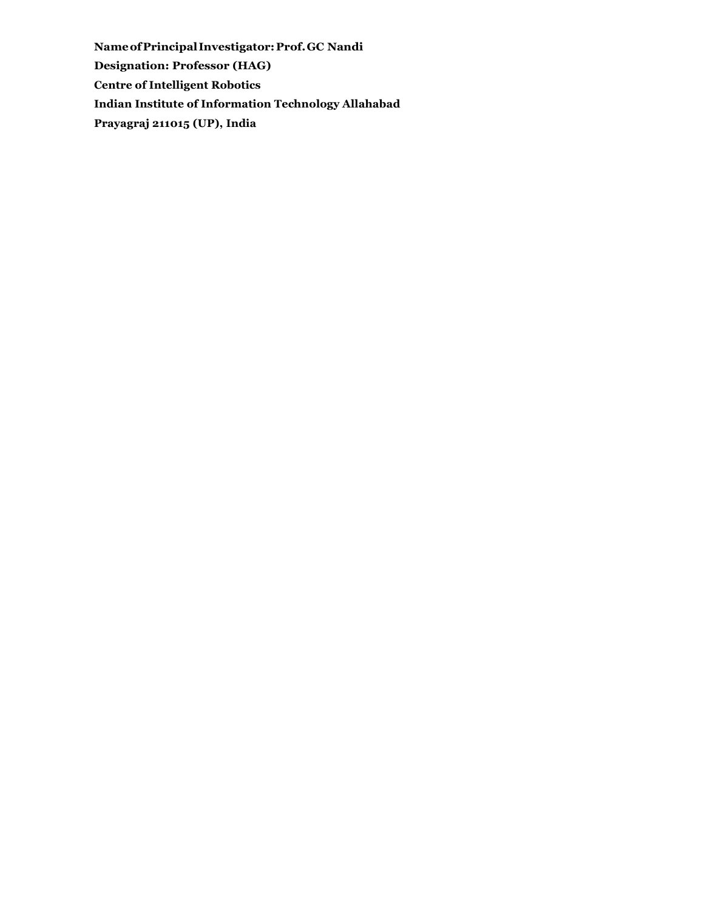**NameofPrincipalInvestigator:Prof.GC Nandi Designation: Professor (HAG) Centre of Intelligent Robotics Indian Institute of Information Technology Allahabad Prayagraj 211015 (UP), India**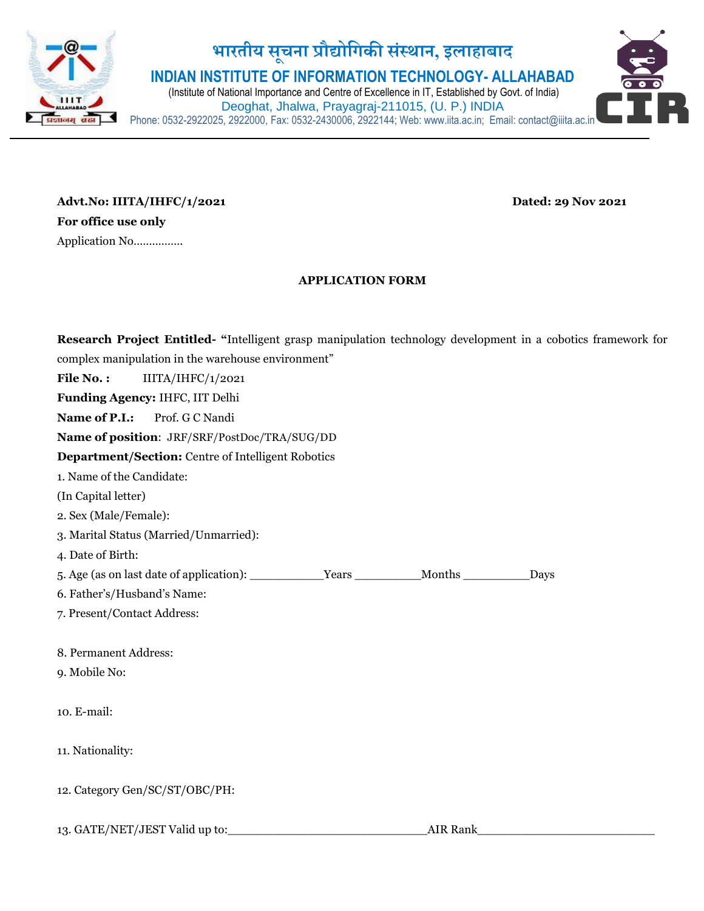

## **भारतीय स ू चना प्रौद्योगिकी सस्ं थान, इलाहाबाद**

**INDIAN INSTITUTE OF INFORMATION TECHNOLOGY- ALLAHABAD**

(Institute of National Importance and Centre of Excellence in IT, Established by Govt. of India) Deoghat, Jhalwa, Prayagraj-211015, (U. P.) INDIA Phone: 0532-2922025, 2922000, Fax: 0532-2430006, 2922144; Web: www.iita.ac.in; Email: contact@iiita.ac.in



### **APPLICATION FORM**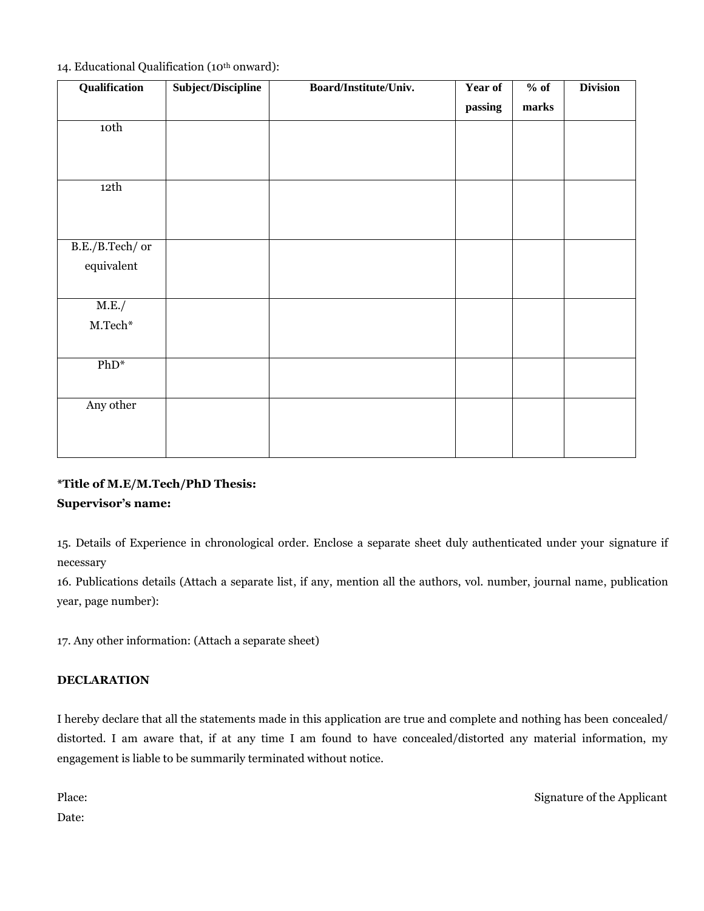|  |  |  | 14. Educational Qualification (10 <sup>th</sup> onward): |
|--|--|--|----------------------------------------------------------|
|--|--|--|----------------------------------------------------------|

| Qualification                 | Subject/Discipline | Board/Institute/Univ. | Year of | $%$ of | <b>Division</b> |
|-------------------------------|--------------------|-----------------------|---------|--------|-----------------|
|                               |                    |                       | passing | marks  |                 |
| 10th                          |                    |                       |         |        |                 |
|                               |                    |                       |         |        |                 |
|                               |                    |                       |         |        |                 |
| 12th                          |                    |                       |         |        |                 |
|                               |                    |                       |         |        |                 |
|                               |                    |                       |         |        |                 |
| B.E./B.Tech/ or               |                    |                       |         |        |                 |
| equivalent                    |                    |                       |         |        |                 |
|                               |                    |                       |         |        |                 |
| M.E./                         |                    |                       |         |        |                 |
| $\mathbf{M}.\mathbf{Techn}^*$ |                    |                       |         |        |                 |
|                               |                    |                       |         |        |                 |
| $PhD*$                        |                    |                       |         |        |                 |
|                               |                    |                       |         |        |                 |
| Any other                     |                    |                       |         |        |                 |
|                               |                    |                       |         |        |                 |
|                               |                    |                       |         |        |                 |

### **\*Title of M.E/M.Tech/PhD Thesis: Supervisor's name:**

15. Details of Experience in chronological order. Enclose a separate sheet duly authenticated under your signature if necessary

16. Publications details (Attach a separate list, if any, mention all the authors, vol. number, journal name, publication year, page number):

17. Any other information: (Attach a separate sheet)

### **DECLARATION**

I hereby declare that all the statements made in this application are true and complete and nothing has been concealed/ distorted. I am aware that, if at any time I am found to have concealed/distorted any material information, my engagement is liable to be summarily terminated without notice.

Date:

Place: Signature of the Applicant